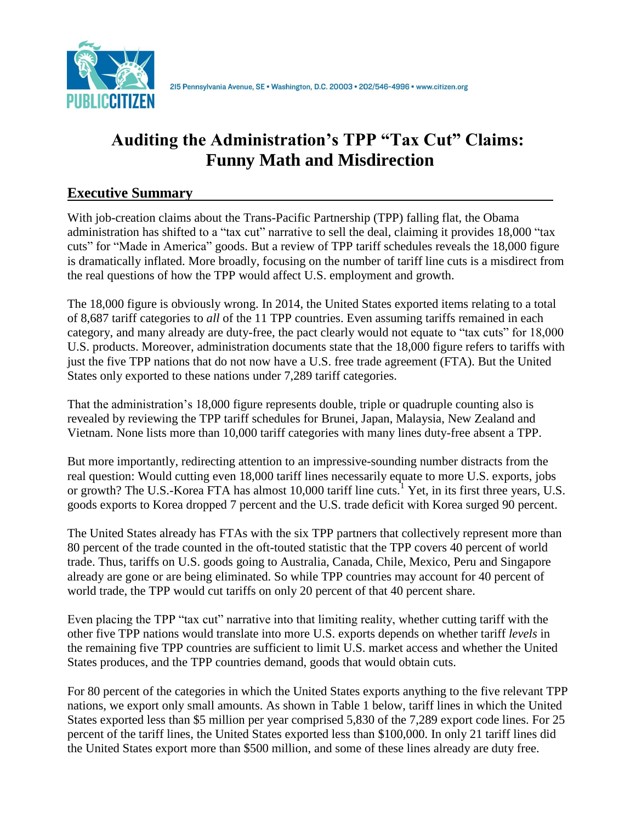

# **Auditing the Administration's TPP "Tax Cut" Claims: Funny Math and Misdirection**

# **Executive Summary**

With job-creation claims about the Trans-Pacific Partnership (TPP) falling flat, the Obama administration has shifted to a "tax cut" narrative to sell the deal, claiming it provides 18,000 "tax cuts" for "Made in America" goods. But a review of TPP tariff schedules reveals the 18,000 figure is dramatically inflated. More broadly, focusing on the number of tariff line cuts is a misdirect from the real questions of how the TPP would affect U.S. employment and growth.

The 18,000 figure is obviously wrong. In 2014, the United States exported items relating to a total of 8,687 tariff categories to *all* of the 11 TPP countries. Even assuming tariffs remained in each category, and many already are duty-free, the pact clearly would not equate to "tax cuts" for 18,000 U.S. products. Moreover, administration documents state that the 18,000 figure refers to tariffs with just the five TPP nations that do not now have a U.S. free trade agreement (FTA). But the United States only exported to these nations under 7,289 tariff categories.

That the administration's 18,000 figure represents double, triple or quadruple counting also is revealed by reviewing the TPP tariff schedules for Brunei, Japan, Malaysia, New Zealand and Vietnam. None lists more than 10,000 tariff categories with many lines duty-free absent a TPP.

But more importantly, redirecting attention to an impressive-sounding number distracts from the real question: Would cutting even 18,000 tariff lines necessarily equate to more U.S. exports, jobs or growth? The U.S.-Korea FTA has almost 10,000 tariff line cuts.<sup>1</sup> Yet, in its first three years, U.S. goods exports to Korea dropped 7 percent and the U.S. trade deficit with Korea surged 90 percent.

The United States already has FTAs with the six TPP partners that collectively represent more than 80 percent of the trade counted in the oft-touted statistic that the TPP covers 40 percent of world trade. Thus, tariffs on U.S. goods going to Australia, Canada, Chile, Mexico, Peru and Singapore already are gone or are being eliminated. So while TPP countries may account for 40 percent of world trade, the TPP would cut tariffs on only 20 percent of that 40 percent share.

Even placing the TPP "tax cut" narrative into that limiting reality, whether cutting tariff with the other five TPP nations would translate into more U.S. exports depends on whether tariff *levels* in the remaining five TPP countries are sufficient to limit U.S. market access and whether the United States produces, and the TPP countries demand, goods that would obtain cuts.

For 80 percent of the categories in which the United States exports anything to the five relevant TPP nations, we export only small amounts. As shown in Table 1 below, tariff lines in which the United States exported less than \$5 million per year comprised 5,830 of the 7,289 export code lines. For 25 percent of the tariff lines, the United States exported less than \$100,000. In only 21 tariff lines did the United States export more than \$500 million, and some of these lines already are duty free.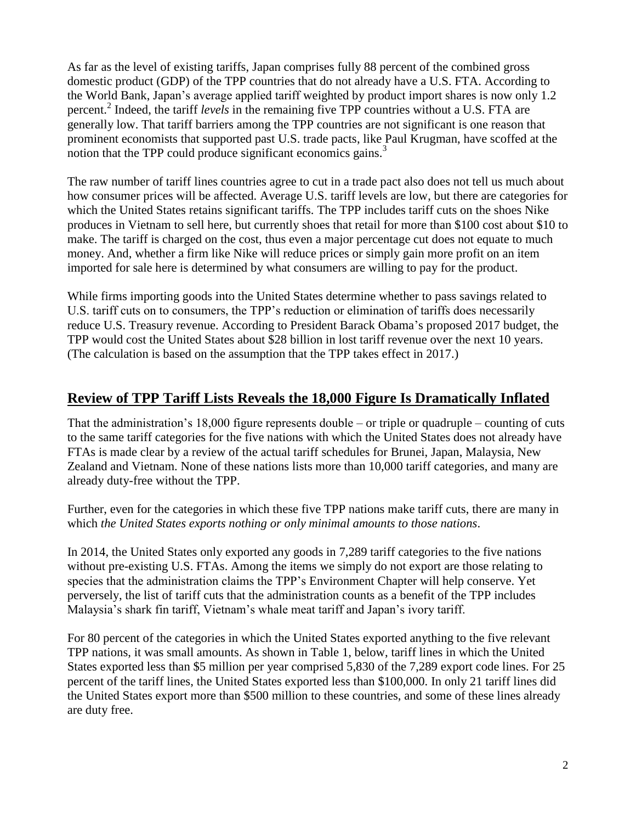As far as the level of existing tariffs, Japan comprises fully 88 percent of the combined gross domestic product (GDP) of the TPP countries that do not already have a U.S. FTA. According to the World Bank, Japan's average applied tariff weighted by product import shares is now only 1.2 percent.<sup>2</sup> Indeed, the tariff *levels* in the remaining five TPP countries without a U.S. FTA are generally low. That tariff barriers among the TPP countries are not significant is one reason that prominent economists that supported past U.S. trade pacts, like Paul Krugman, have scoffed at the notion that the TPP could produce significant economics gains.<sup>3</sup>

The raw number of tariff lines countries agree to cut in a trade pact also does not tell us much about how consumer prices will be affected. Average U.S. tariff levels are low, but there are categories for which the United States retains significant tariffs. The TPP includes tariff cuts on the shoes Nike produces in Vietnam to sell here, but currently shoes that retail for more than \$100 cost about \$10 to make. The tariff is charged on the cost, thus even a major percentage cut does not equate to much money. And, whether a firm like Nike will reduce prices or simply gain more profit on an item imported for sale here is determined by what consumers are willing to pay for the product.

While firms importing goods into the United States determine whether to pass savings related to U.S. tariff cuts on to consumers, the TPP's reduction or elimination of tariffs does necessarily reduce U.S. Treasury revenue. According to President Barack Obama's proposed 2017 budget, the TPP would cost the United States about \$28 billion in lost tariff revenue over the next 10 years. (The calculation is based on the assumption that the TPP takes effect in 2017.)

# **Review of TPP Tariff Lists Reveals the 18,000 Figure Is Dramatically Inflated**

That the administration's 18,000 figure represents double – or triple or quadruple – counting of cuts to the same tariff categories for the five nations with which the United States does not already have FTAs is made clear by a review of the actual tariff schedules for Brunei, Japan, Malaysia, New Zealand and Vietnam. None of these nations lists more than 10,000 tariff categories, and many are already duty-free without the TPP.

Further, even for the categories in which these five TPP nations make tariff cuts, there are many in which *the United States exports nothing or only minimal amounts to those nations*.

In 2014, the United States only exported any goods in 7,289 tariff categories to the five nations without pre-existing U.S. FTAs. Among the items we simply do not export are those relating to species that the administration claims the TPP's Environment Chapter will help conserve. Yet perversely, the list of tariff cuts that the administration counts as a benefit of the TPP includes Malaysia's shark fin tariff, Vietnam's whale meat tariff and Japan's ivory tariff.

For 80 percent of the categories in which the United States exported anything to the five relevant TPP nations, it was small amounts. As shown in Table 1, below, tariff lines in which the United States exported less than \$5 million per year comprised 5,830 of the 7,289 export code lines. For 25 percent of the tariff lines, the United States exported less than \$100,000. In only 21 tariff lines did the United States export more than \$500 million to these countries, and some of these lines already are duty free.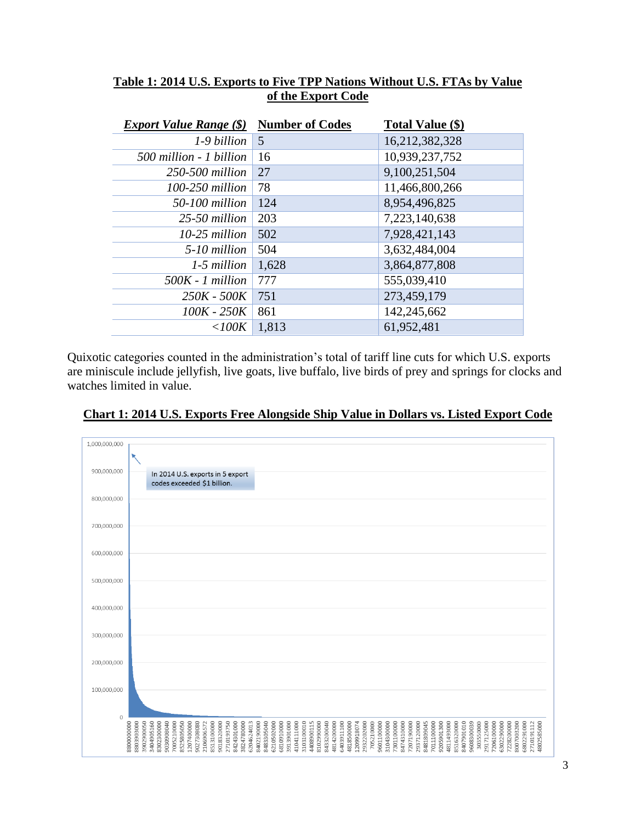| <i>Export Value Range</i> (\$) | <b>Number of Codes</b> | Total Value (\$) |
|--------------------------------|------------------------|------------------|
| 1-9 billion                    | 5                      | 16,212,382,328   |
| 500 million - 1 billion        | 16                     | 10,939,237,752   |
| 250-500 million                | 27                     | 9,100,251,504    |
| $100-250$ million              | 78                     | 11,466,800,266   |
| 50-100 million                 | 124                    | 8,954,496,825    |
| 25-50 million                  | 203                    | 7,223,140,638    |
| $10-25$ million                | 502                    | 7,928,421,143    |
| 5-10 million                   | 504                    | 3,632,484,004    |
| 1-5 million                    | 1,628                  | 3,864,877,808    |
| 500K - 1 million               | 777                    | 555,039,410      |
| 250K - 500K                    | 751                    | 273,459,179      |
| 100K - 250K                    | 861                    | 142,245,662      |
| $<$ 100K                       | 1,813                  | 61,952,481       |

#### **Table 1: 2014 U.S. Exports to Five TPP Nations Without U.S. FTAs by Value of the Export Code**

Quixotic categories counted in the administration's total of tariff line cuts for which U.S. exports are miniscule include jellyfish, live goats, live buffalo, live birds of prey and springs for clocks and watches limited in value.



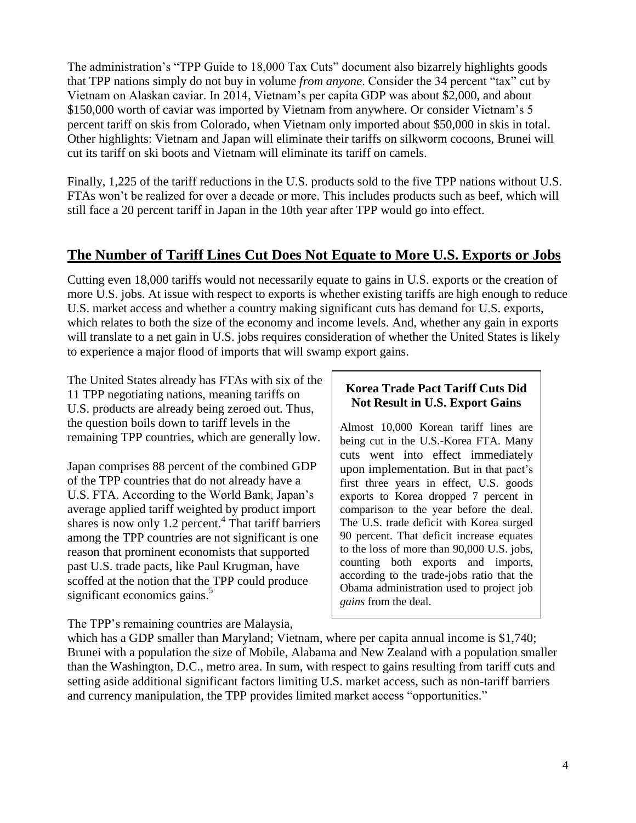The administration's "TPP Guide to 18,000 Tax Cuts" document also bizarrely highlights goods that TPP nations simply do not buy in volume *from anyone*. Consider the 34 percent "tax" cut by Vietnam on Alaskan caviar. In 2014, Vietnam's per capita GDP was about \$2,000, and about \$150,000 worth of caviar was imported by Vietnam from anywhere. Or consider Vietnam's 5 percent tariff on skis from Colorado, when Vietnam only imported about \$50,000 in skis in total. Other highlights: Vietnam and Japan will eliminate their tariffs on silkworm cocoons, Brunei will cut its tariff on ski boots and Vietnam will eliminate its tariff on camels.

Finally, 1,225 of the tariff reductions in the U.S. products sold to the five TPP nations without U.S. FTAs won't be realized for over a decade or more. This includes products such as beef, which will still face a 20 percent tariff in Japan in the 10th year after TPP would go into effect.

## **The Number of Tariff Lines Cut Does Not Equate to More U.S. Exports or Jobs**

Cutting even 18,000 tariffs would not necessarily equate to gains in U.S. exports or the creation of more U.S. jobs. At issue with respect to exports is whether existing tariffs are high enough to reduce U.S. market access and whether a country making significant cuts has demand for U.S. exports, which relates to both the size of the economy and income levels. And, whether any gain in exports will translate to a net gain in U.S. jobs requires consideration of whether the United States is likely to experience a major flood of imports that will swamp export gains.

The United States already has FTAs with six of the 11 TPP negotiating nations, meaning tariffs on U.S. products are already being zeroed out. Thus, the question boils down to tariff levels in the remaining TPP countries, which are generally low.

Japan comprises 88 percent of the combined GDP of the TPP countries that do not already have a U.S. FTA. According to the World Bank, Japan's average applied tariff weighted by product import shares is now only  $1.2$  percent.<sup>4</sup> That tariff barriers among the TPP countries are not significant is one reason that prominent economists that supported past U.S. trade pacts, like Paul Krugman, have scoffed at the notion that the TPP could produce significant economics gains.<sup>5</sup>

#### **Korea Trade Pact Tariff Cuts Did Not Result in U.S. Export Gains**

Almost 10,000 Korean tariff lines are being cut in the U.S.-Korea FTA. Many cuts went into effect immediately upon implementation. But in that pact's first three years in effect, U.S. goods exports to Korea dropped 7 percent in comparison to the year before the deal. The U.S. trade deficit with Korea surged 90 percent. That deficit increase equates to the loss of more than 90,000 U.S. jobs, counting both exports and imports, according to the trade-jobs ratio that the Obama administration used to project job *gains* from the deal.

The TPP's remaining countries are Malaysia,

which has a GDP smaller than Maryland; Vietnam, where per capita annual income is \$1,740; Brunei with a population the size of Mobile, Alabama and New Zealand with a population smaller than the Washington, D.C., metro area. In sum, with respect to gains resulting from tariff cuts and setting aside additional significant factors limiting U.S. market access, such as non-tariff barriers and currency manipulation, the TPP provides limited market access "opportunities."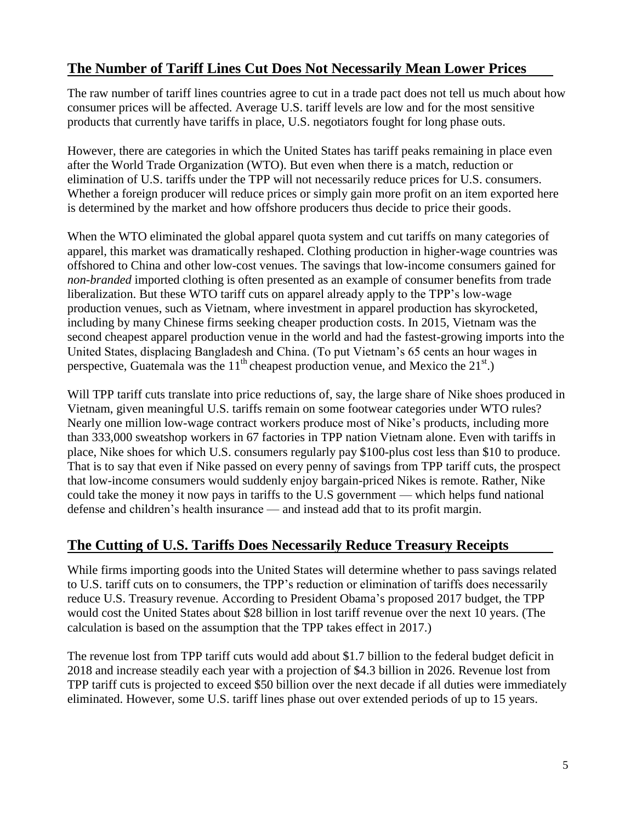# **The Number of Tariff Lines Cut Does Not Necessarily Mean Lower Prices**

The raw number of tariff lines countries agree to cut in a trade pact does not tell us much about how consumer prices will be affected. Average U.S. tariff levels are low and for the most sensitive products that currently have tariffs in place, U.S. negotiators fought for long phase outs.

However, there are categories in which the United States has tariff peaks remaining in place even after the World Trade Organization (WTO). But even when there is a match, reduction or elimination of U.S. tariffs under the TPP will not necessarily reduce prices for U.S. consumers. Whether a foreign producer will reduce prices or simply gain more profit on an item exported here is determined by the market and how offshore producers thus decide to price their goods.

When the WTO eliminated the global apparel quota system and cut tariffs on many categories of apparel, this market was dramatically reshaped. Clothing production in higher-wage countries was offshored to China and other low-cost venues. The savings that low-income consumers gained for *non-branded* imported clothing is often presented as an example of consumer benefits from trade liberalization. But these WTO tariff cuts on apparel already apply to the TPP's low-wage production venues, such as Vietnam, where investment in apparel production has skyrocketed, including by many Chinese firms seeking cheaper production costs. In 2015, Vietnam was the second cheapest apparel production venue in the world and had the fastest-growing imports into the United States, displacing Bangladesh and China. (To put Vietnam's 65 cents an hour wages in perspective, Guatemala was the  $11<sup>th</sup>$  cheapest production venue, and Mexico the  $21<sup>st</sup>$ .)

Will TPP tariff cuts translate into price reductions of, say, the large share of Nike shoes produced in Vietnam, given meaningful U.S. tariffs remain on some footwear categories under WTO rules? Nearly one million low-wage contract workers produce most of Nike's products, including more than 333,000 sweatshop workers in 67 factories in TPP nation Vietnam alone. Even with tariffs in place, Nike shoes for which U.S. consumers regularly pay \$100-plus cost less than \$10 to produce. That is to say that even if Nike passed on every penny of savings from TPP tariff cuts, the prospect that low-income consumers would suddenly enjoy bargain-priced Nikes is remote. Rather, Nike could take the money it now pays in tariffs to the U.S government — which helps fund national defense and children's health insurance — and instead add that to its profit margin.

#### **The Cutting of U.S. Tariffs Does Necessarily Reduce Treasury Receipts**

While firms importing goods into the United States will determine whether to pass savings related to U.S. tariff cuts on to consumers, the TPP's reduction or elimination of tariffs does necessarily reduce U.S. Treasury revenue. According to President Obama's proposed 2017 budget, the TPP would cost the United States about \$28 billion in lost tariff revenue over the next 10 years. (The calculation is based on the assumption that the TPP takes effect in 2017.)

The revenue lost from TPP tariff cuts would add about \$1.7 billion to the federal budget deficit in 2018 and increase steadily each year with a projection of \$4.3 billion in 2026. Revenue lost from TPP tariff cuts is projected to exceed \$50 billion over the next decade if all duties were immediately eliminated. However, some U.S. tariff lines phase out over extended periods of up to 15 years.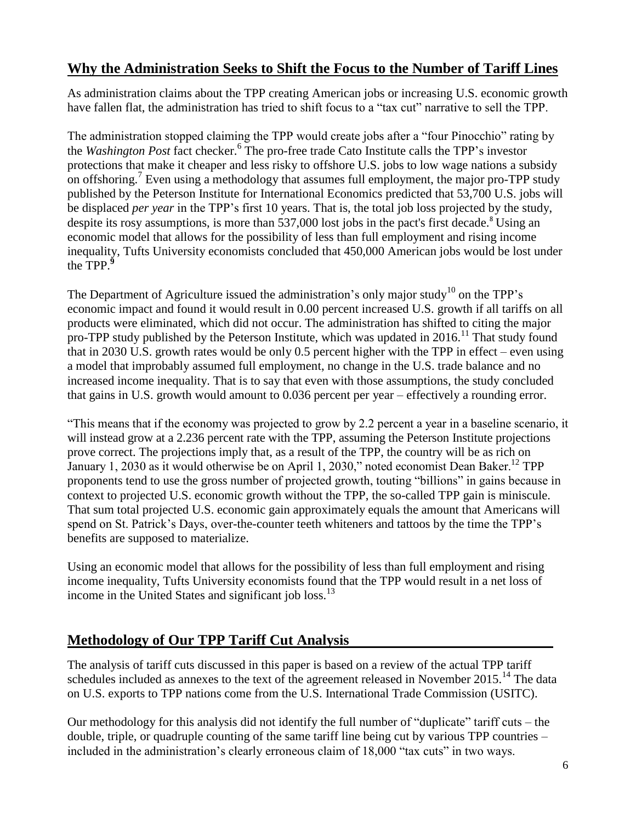## **Why the Administration Seeks to Shift the Focus to the Number of Tariff Lines**

As administration claims about the TPP creating American jobs or increasing U.S. economic growth have fallen flat, the administration has tried to shift focus to a "tax cut" narrative to sell the TPP.

The administration stopped claiming the TPP would create jobs after a "four Pinocchio" rating by the *Washington Post* fact checker.<sup>6</sup> The pro-free trade Cato Institute calls the TPP's investor protections that make it cheaper and less risky to offshore U.S. jobs to low wage nations a subsidy on offshoring.<sup>7</sup> Even using a methodology that assumes full employment, the major pro-TPP study published by the Peterson Institute for International Economics predicted that 53,700 U.S. jobs will be displaced *per year* in the TPP's first 10 years. That is, the total job loss projected by the study, despite its rosy assumptions, is more than 537,000 lost jobs in the pact's first decade.<sup>8</sup> Using an economic model that allows for the possibility of less than full employment and rising income inequality, Tufts University economists concluded that 450,000 American jobs would be lost under the TPP. **9**

The Department of Agriculture issued the administration's only major study<sup>10</sup> on the TPP's economic impact and found it would result in 0.00 percent increased U.S. growth if all tariffs on all products were eliminated, which did not occur. The administration has shifted to citing the major pro-TPP study published by the Peterson Institute, which was updated in  $2016$ .<sup>11</sup> That study found that in 2030 U.S. growth rates would be only 0.5 percent higher with the TPP in effect – even using a model that improbably assumed full employment, no change in the U.S. trade balance and no increased income inequality. That is to say that even with those assumptions, the study concluded that gains in U.S. growth would amount to 0.036 percent per year – effectively a rounding error.

"This means that if the economy was projected to grow by 2.2 percent a year in a baseline scenario, it will instead grow at a 2.236 percent rate with the TPP, assuming the Peterson Institute projections prove correct. The projections imply that, as a result of the TPP, the country will be as rich on January 1, 2030 as it would otherwise be on April 1, 2030," noted economist Dean Baker.<sup>12</sup> TPP proponents tend to use the gross number of projected growth, touting "billions" in gains because in context to projected U.S. economic growth without the TPP, the so-called TPP gain is miniscule. That sum total projected U.S. economic gain approximately equals the amount that Americans will spend on St. Patrick's Days, over-the-counter teeth whiteners and tattoos by the time the TPP's benefits are supposed to materialize.

Using an economic model that allows for the possibility of less than full employment and rising income inequality, Tufts University economists found that the TPP would result in a net loss of income in the United States and significant job  $loss<sup>13</sup>$ 

#### **Methodology of Our TPP Tariff Cut Analysis**

The analysis of tariff cuts discussed in this paper is based on a review of the actual TPP tariff schedules included as annexes to the text of the agreement released in November 2015.<sup>14</sup> The data on U.S. exports to TPP nations come from the U.S. International Trade Commission (USITC).

Our methodology for this analysis did not identify the full number of "duplicate" tariff cuts – the double, triple, or quadruple counting of the same tariff line being cut by various TPP countries – included in the administration's clearly erroneous claim of 18,000 "tax cuts" in two ways.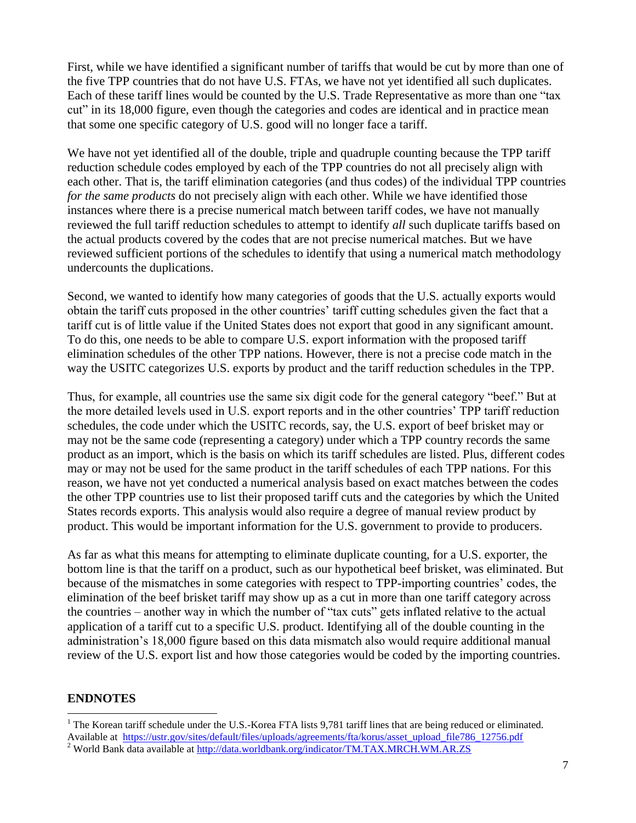First, while we have identified a significant number of tariffs that would be cut by more than one of the five TPP countries that do not have U.S. FTAs, we have not yet identified all such duplicates. Each of these tariff lines would be counted by the U.S. Trade Representative as more than one "tax cut" in its 18,000 figure, even though the categories and codes are identical and in practice mean that some one specific category of U.S. good will no longer face a tariff.

We have not yet identified all of the double, triple and quadruple counting because the TPP tariff reduction schedule codes employed by each of the TPP countries do not all precisely align with each other. That is, the tariff elimination categories (and thus codes) of the individual TPP countries *for the same products* do not precisely align with each other. While we have identified those instances where there is a precise numerical match between tariff codes, we have not manually reviewed the full tariff reduction schedules to attempt to identify *all* such duplicate tariffs based on the actual products covered by the codes that are not precise numerical matches. But we have reviewed sufficient portions of the schedules to identify that using a numerical match methodology undercounts the duplications.

Second, we wanted to identify how many categories of goods that the U.S. actually exports would obtain the tariff cuts proposed in the other countries' tariff cutting schedules given the fact that a tariff cut is of little value if the United States does not export that good in any significant amount. To do this, one needs to be able to compare U.S. export information with the proposed tariff elimination schedules of the other TPP nations. However, there is not a precise code match in the way the USITC categorizes U.S. exports by product and the tariff reduction schedules in the TPP.

Thus, for example, all countries use the same six digit code for the general category "beef." But at the more detailed levels used in U.S. export reports and in the other countries' TPP tariff reduction schedules, the code under which the USITC records, say, the U.S. export of beef brisket may or may not be the same code (representing a category) under which a TPP country records the same product as an import, which is the basis on which its tariff schedules are listed. Plus, different codes may or may not be used for the same product in the tariff schedules of each TPP nations. For this reason, we have not yet conducted a numerical analysis based on exact matches between the codes the other TPP countries use to list their proposed tariff cuts and the categories by which the United States records exports. This analysis would also require a degree of manual review product by product. This would be important information for the U.S. government to provide to producers.

As far as what this means for attempting to eliminate duplicate counting, for a U.S. exporter, the bottom line is that the tariff on a product, such as our hypothetical beef brisket, was eliminated. But because of the mismatches in some categories with respect to TPP-importing countries' codes, the elimination of the beef brisket tariff may show up as a cut in more than one tariff category across the countries – another way in which the number of "tax cuts" gets inflated relative to the actual application of a tariff cut to a specific U.S. product. Identifying all of the double counting in the administration's 18,000 figure based on this data mismatch also would require additional manual review of the U.S. export list and how those categories would be coded by the importing countries.

#### **ENDNOTES**

 $\overline{a}$ 

<sup>&</sup>lt;sup>1</sup> The Korean tariff schedule under the U.S.-Korea FTA lists 9,781 tariff lines that are being reduced or eliminated. Available at [https://ustr.gov/sites/default/files/uploads/agreements/fta/korus/asset\\_upload\\_file786\\_12756.pdf](https://ustr.gov/sites/default/files/uploads/agreements/fta/korus/asset_upload_file786_12756.pdf)